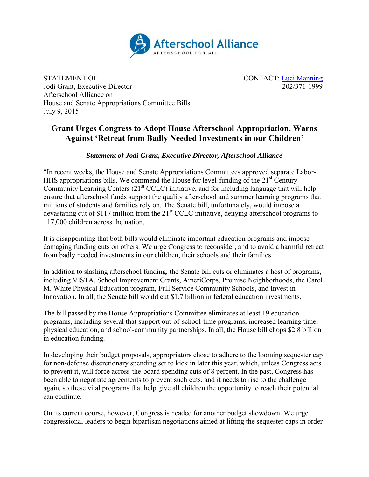

STATEMENT OF<br>
Jodi Grant, Executive Director<br>  $\frac{1 \text{U} \cdot \text{U}}{202/371-1999}$ Jodi Grant, Executive Director Afterschool Alliance on House and Senate Appropriations Committee Bills July 9, 2015

## **Grant Urges Congress to Adopt House Afterschool Appropriation, Warns Against 'Retreat from Badly Needed Investments in our Children'**

*Statement of Jodi Grant, Executive Director, Afterschool Alliance*

"In recent weeks, the House and Senate Appropriations Committees approved separate Labor-HHS appropriations bills. We commend the House for level-funding of the  $21<sup>st</sup>$  Century Community Learning Centers  $(21<sup>st</sup> CCLC)$  initiative, and for including language that will help ensure that afterschool funds support the quality afterschool and summer learning programs that millions of students and families rely on. The Senate bill, unfortunately, would impose a devastating cut of \$117 million from the 21<sup>st</sup> CCLC initiative, denying afterschool programs to 117,000 children across the nation.

It is disappointing that both bills would eliminate important education programs and impose damaging funding cuts on others. We urge Congress to reconsider, and to avoid a harmful retreat from badly needed investments in our children, their schools and their families.

In addition to slashing afterschool funding, the Senate bill cuts or eliminates a host of programs, including VISTA, School Improvement Grants, AmeriCorps, Promise Neighborhoods, the Carol M. White Physical Education program, Full Service Community Schools, and Invest in Innovation. In all, the Senate bill would cut \$1.7 billion in federal education investments.

The bill passed by the House Appropriations Committee eliminates at least 19 education programs, including several that support out-of-school-time programs, increased learning time, physical education, and school-community partnerships. In all, the House bill chops \$2.8 billion in education funding.

In developing their budget proposals, appropriators chose to adhere to the looming sequester cap for non-defense discretionary spending set to kick in later this year, which, unless Congress acts to prevent it, will force across-the-board spending cuts of 8 percent. In the past, Congress has been able to negotiate agreements to prevent such cuts, and it needs to rise to the challenge again, so these vital programs that help give all children the opportunity to reach their potential can continue.

On its current course, however, Congress is headed for another budget showdown. We urge congressional leaders to begin bipartisan negotiations aimed at lifting the sequester caps in order